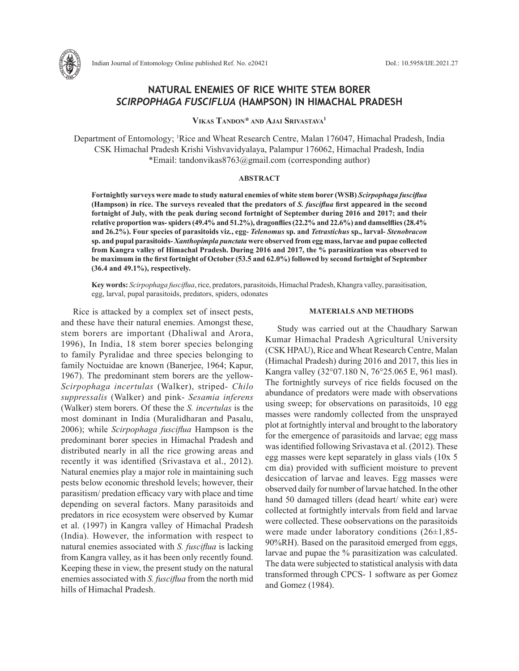

# **NATURAL ENEMIES OF RICE WHITE STEM BORER**  *SCIRPOPHAGA FUSCIFLUA* **(HAMPSON) IN HIMACHAL PRADESH**

**Vikas Tandon\* and Ajai Srivastava1**

Department of Entomology; 1 Rice and Wheat Research Centre, Malan 176047, Himachal Pradesh, India CSK Himachal Pradesh Krishi Vishvavidyalaya, Palampur 176062, Himachal Pradesh, India \*Email: tandonvikas8763@gmail.com (corresponding author)

## **ABSTRACT**

**Fortnightly surveys were made to study natural enemies of white stem borer (WSB)** *Scirpophaga fusciflua*  **(Hampson) in rice. The surveys revealed that the predators of** *S. fusciflua* **first appeared in the second fortnight of July, with the peak during second fortnight of September during 2016 and 2017; and their relative proportion was- spiders (49.4% and 51.2%), dragonflies (22.2% and 22.6%) and damselflies (28.4% and 26.2%). Four species of parasitoids viz***.***, egg-** *Telenomus* **sp. and** *Tetrastichus* **sp., larval-** *Stenobracon* **sp. and pupal parasitoids-** *Xanthopimpla punctata* **were observed from egg mass, larvae and pupae collected from Kangra valley of Himachal Pradesh. During 2016 and 2017, the % parasitization was observed to be maximum in the first fortnight of October (53.5 and 62.0%) followed by second fortnight of September (36.4 and 49.1%), respectively.**

**Key words:** *Scirpophaga fusciflua*, rice, predators, parasitoids, Himachal Pradesh, Khangra valley, parasitisation, egg, larval, pupal parasitoids, predators, spiders, odonates

Rice is attacked by a complex set of insect pests, and these have their natural enemies. Amongst these, stem borers are important (Dhaliwal and Arora, 1996), In India, 18 stem borer species belonging to family Pyralidae and three species belonging to family Noctuidae are known (Banerjee, 1964; Kapur, 1967). The predominant stem borers are the yellow-*Scirpophaga incertulas* (Walker), striped- *Chilo suppressalis* (Walker) and pink- *Sesamia inferens* (Walker) stem borers. Of these the *S. incertulas* is the most dominant in India (Muralidharan and Pasalu, 2006); while *Scirpophaga fusciflua* Hampson is the predominant borer species in Himachal Pradesh and distributed nearly in all the rice growing areas and recently it was identified (Srivastava et al., 2012). Natural enemies play a major role in maintaining such pests below economic threshold levels; however, their parasitism/ predation efficacy vary with place and time depending on several factors. Many parasitoids and predators in rice ecosystem were observed by Kumar et al. (1997) in Kangra valley of Himachal Pradesh (India). However, the information with respect to natural enemies associated with *S. fusciflua* is lacking from Kangra valley, as it has been only recently found. Keeping these in view, the present study on the natural enemies associated with *S. fusciflua* from the north mid hills of Himachal Pradesh.

#### **MATERIALS AND METHODS**

Study was carried out at the Chaudhary Sarwan Kumar Himachal Pradesh Agricultural University (CSK HPAU), Rice and Wheat Research Centre, Malan (Himachal Pradesh) during 2016 and 2017, this lies in Kangra valley (32°07.180 N, 76°25.065 E, 961 masl). The fortnightly surveys of rice fields focused on the abundance of predators were made with observations using sweep; for observations on parasitoids, 10 egg masses were randomly collected from the unsprayed plot at fortnightly interval and brought to the laboratory for the emergence of parasitoids and larvae; egg mass was identified following Srivastava et al. (2012). These egg masses were kept separately in glass vials (10x 5 cm dia) provided with sufficient moisture to prevent desiccation of larvae and leaves. Egg masses were observed daily for number of larvae hatched. In the other hand 50 damaged tillers (dead heart/ white ear) were collected at fortnightly intervals from field and larvae were collected. These oobservations on the parasitoids were made under laboratory conditions (26±1,85- 90%RH). Based on the parasitoid emerged from eggs, larvae and pupae the % parasitization was calculated. The data were subjected to statistical analysis with data transformed through CPCS- 1 software as per Gomez and Gomez (1984).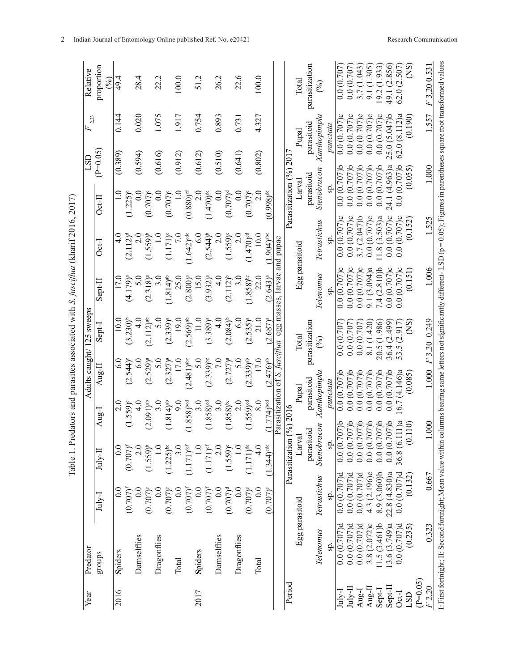| l                             |
|-------------------------------|
| ディンク ソテクク・ニュア                 |
|                               |
|                               |
|                               |
| .<br>.<br>.                   |
| datase and margatase acc<br>í |
| $\frac{1}{2}$                 |
|                               |
| I                             |
| I<br>ï                        |

| Year       | Predator                                                                                                                                                                                    |                        |                         |                          | Adults caught/                                    |                          | 125 sweeps               |                          |                          |                         | LSD      | Ŀ,                   | Relative                    |
|------------|---------------------------------------------------------------------------------------------------------------------------------------------------------------------------------------------|------------------------|-------------------------|--------------------------|---------------------------------------------------|--------------------------|--------------------------|--------------------------|--------------------------|-------------------------|----------|----------------------|-----------------------------|
|            |                                                                                                                                                                                             |                        |                         |                          |                                                   |                          |                          |                          |                          |                         |          | 2,23                 |                             |
|            | groups                                                                                                                                                                                      | July-I                 | $J$ ul $\sim$ II        | Aug-I                    | $Aug-II$                                          | Sept-I                   |                          | Sept-II                  | Oct-I                    | $Oct-II$                | $P=0.05$ |                      | proportion<br>$\mathcal{S}$ |
| 2016       | Spiders                                                                                                                                                                                     | $_{\rm 0.0}$           | 0.0                     |                          | $\frac{0}{2}$                                     | $\overset{\circ}{\circ}$ | 10.0                     | 17.0                     | $\frac{1}{4}$            |                         | (0.389)  | 0.144                | 49.4                        |
|            |                                                                                                                                                                                             | $(0.707)^{f}$          | $(0.707)^{r}$           | $(1.559)^{e}$            | $(2.544)$ °                                       | $(3.230)^{b}$            |                          | $(4.179)^a$              | $(2.112)^d$              | $(1.225)^{e}$           |          |                      |                             |
|            | Damselflies                                                                                                                                                                                 | $\rm{C}$               |                         |                          | $\frac{0}{4}$                                     | $\frac{6}{6}$            | 4.0                      | 5.0                      | $\frac{0}{2}$            | 0.0                     | (0.594)  | 0.020                | 28.4                        |
|            |                                                                                                                                                                                             | $(0.707)$ <sup>e</sup> | $(1.559)^{b}$           | $(2.091)$ <sup>ab</sup>  | $(2.529)^{a}$                                     | (2.112) <sup>ab</sup>    |                          | $(2.318)^a$              | $(1.559)^{b}$            | $(0.707)$ °             |          |                      |                             |
|            | Dragonflies                                                                                                                                                                                 | $\frac{0}{2}$          |                         |                          | $\overline{3.0}$                                  | $\overline{5}$ .         | $\overline{5.0}$         | 3.0                      | $\frac{0}{1}$            | 0.0                     | (0.616)  | 1.075                | 22.2                        |
|            |                                                                                                                                                                                             | $(0.707)^{c}$          | $(1.225)$ <sup>bc</sup> | $(1.814)$ <sup>ab</sup>  | $(2.327)^{a}$                                     | $(2.339)^{a}$            |                          | $(1.814)$ <sup>ab</sup>  | $(1.171)^{c}$            | $(0.707)$ °             |          |                      |                             |
|            | Total                                                                                                                                                                                       | $\overline{0.0}$       |                         |                          | 17.0<br>9.0                                       |                          | 19.0                     | 25.0                     | 7.0                      | $\frac{1}{10}$          | (0.912)  | 1.917                | 100.0                       |
|            |                                                                                                                                                                                             | $(0.707)^{f}$          | $1.171$ )det            | $(1.858)$ <sup>bod</sup> | $(2.481)$ <sup>abc</sup>                          | $(2.569)$ <sup>ab</sup>  |                          | $(2.800)^{a}$            | $1.642$ ) <sup>cde</sup> | $(0.880)^{et}$          |          |                      |                             |
| 2017       | Spiders                                                                                                                                                                                     | $\frac{0}{2}$          |                         |                          | 3.0                                               | 5.0                      | $11.0$                   | 15.0                     | 6.0                      | 2.0                     | (0.612)  | 0.754                | 51.2                        |
|            |                                                                                                                                                                                             | $(0.707)^{t}$          | $(1.171)$ <sup>ef</sup> | $(1.858)$ <sup>d</sup>   | $(2.339)$ <sup>bc</sup>                           | $(3.389)^{a}$            |                          | $(3.932)^{a}$            | $(2.544)$ <sup>b</sup>   | $(1.470)$ <sup>de</sup> |          |                      |                             |
|            | Damselflies                                                                                                                                                                                 | $\frac{0}{2}$          | $\frac{0}{2}$           |                          | 3.0                                               | 0 L                      | $\frac{1}{4}$            | $\frac{4}{3}$            | 2.0                      | $\frac{0.0}{\sqrt{2}}$  | (0.510)  | 0.893                | 26.2                        |
|            |                                                                                                                                                                                             | $(0.707)^d$            | $(1.559)^c$             | $(1.858)$ <sup>bc</sup>  | $(2.727)^{a}$                                     | $(2.084)^{b}$            |                          | $(2.112)^{b}$            | $(1.559)^{c}$            | $(0.707)$ <sup>d</sup>  |          |                      |                             |
|            | Dragonflies                                                                                                                                                                                 | $\frac{0}{2}$          |                         |                          | $\frac{0}{2}$                                     | 5.0                      | $\frac{6}{6}$            | 3.0                      | 2.0                      | 0.0                     | (0.641)  | 0.731                | 22.6                        |
|            |                                                                                                                                                                                             | $(0.707)^{e}$          | $(1.171)$ <sup>de</sup> | $(1.559)$ <sup>od</sup>  | $(2.339)$ <sup>ab</sup>                           | $(2.535)^{a}$            |                          | $(1.858)^{bc}$           | $(1.470)$ <sup>cd</sup>  | $(0.707)$ <sup>e</sup>  |          |                      |                             |
|            | Total                                                                                                                                                                                       | 0.0                    |                         |                          | 8.0                                               | 17.0                     | 21.0                     | 22.0                     | 10.0                     | 2.0                     | (0.802)  | 4.327                | 100.0                       |
|            |                                                                                                                                                                                             | $(0.707)^e$            | $(1.344)$ <sup>de</sup> | $(1.774)$ bod            | $(2.476)^{ab}$                                    | $(2.687)^a$              |                          | $(2.643)^{a}$            | $(1.904)$ <sup>abc</sup> | $(0.998)$ <sup>de</sup> |          |                      |                             |
|            |                                                                                                                                                                                             |                        |                         |                          | Parasitization of S. fusciflua egg masses, larvae |                          |                          |                          | and pupae                |                         |          |                      |                             |
| Period     |                                                                                                                                                                                             |                        | Parasitization          | (96) 201                 |                                                   |                          |                          |                          |                          | Parasitization (%) 201  |          |                      |                             |
|            | Egg parasitoid                                                                                                                                                                              |                        | Larval                  |                          | Pupal                                             | $\Gamma$ otal            |                          | Egg parasitoid           |                          | Larval                  |          | Pupal                | Total                       |
|            |                                                                                                                                                                                             |                        | parasitoid              |                          | parasitoid                                        | parasitization           |                          |                          |                          | parasitoid              |          | parasitoid           | parasitization              |
|            | Telenomus                                                                                                                                                                                   | Tetrastichus           | Stenobracon             |                          | Xanthopimpla                                      | $\widehat{\mathcal{E}}$  |                          | Telenomus                | Tetrastichus             | Stenobracon             |          | Xanthopimpla         | $\mathcal{\mathcal{E}}$     |
|            | SP.                                                                                                                                                                                         | Ş.                     | sp.                     |                          | punctata                                          |                          |                          | $\overline{\text{sp}}$ . | Sp.                      | Sp.                     |          | $p$ un $ct$ at $a$   |                             |
| $July-I$   | $0.0(0.707)$ d                                                                                                                                                                              | $0.0(0.707)$ d         | $0.0(0.707)$ b          |                          | 0.0(0.707)b                                       | 0.0(0.707)               |                          | 0.0(0.707)c              | 0.0(0.707)c              | $0.0(0.707)$ b          |          | 0.0(0.707)c          | 0.0(0.707)                  |
| July-II    | $0.0(0.707)$ d                                                                                                                                                                              | $0.0(0.707)$ d         | $0.0$ $(0.707)$ b       |                          | 0.0(0.707)b                                       | 0.0(0.707)               |                          | 0.0(0.707)c              | 0.0(0.707)c              | $0.0(0.707)$ b          |          | 0.0(0.707)c          | 0.0(0.707)                  |
| Aug-I      | $0.0(0.707)$ d                                                                                                                                                                              | $0.0(0.707)$ d         | $0.0(0.707)$ b          |                          | 0.0(0.707)b                                       | 0.0(0.707)               |                          | 0.0(0.707)c              | 3.7(2.047)b              | 0.0(0.707)b             |          | 0.0(0.707)c          | 3.7 (1.043)                 |
| Aug-II     | 3.8(2.072)c                                                                                                                                                                                 | 4.3(2.196)c            | $0.0(0.707)$ b          |                          | 0.0(0.707)b                                       | 8.1 (1.420)              |                          | 9.1 (3.094)a             | 0.0(0.707)c              | 0.0(0.707)b             |          | 0.0(0.707)c          | 9.1 (1.305)                 |
| Sept-I     | 1.5(3.461)b                                                                                                                                                                                 | 8.9 (3.060)b           | 0.0(0.70)               | $07$ )b                  | 0.0(0.707)b                                       | 20.5 (1.986)             |                          | 7.4(2.810)b              | 1.8(3.503)a              | $0.0(0.707)$ b          |          | 0.0(0.707)c          | (1.933)<br>19.2             |
| Sept-II    | (3.6(3.749)a                                                                                                                                                                                | 22.8(4.830)a           | 0.0(0.70)               | $07$ )b                  | $0.0(0.707)$ b                                    | 36.4 (2.499)             |                          | 0.0(0.707)c              | 0.0(0.707)c              | 24.1 (4.963)a           |          | $(5.047)$ b<br>25.0( | (2.856)<br>49.1             |
| Oct-I      | $0.0(0.707)$ d                                                                                                                                                                              | $0.0(0.707)$ d         | 36.8 (6.1               | 11)a                     | (4.146)a<br>16.7                                  | 53.5 (2.917)             |                          | 0.0(0.707)c              | 0.0(0.707)c              | 0.0                     | (0.707)b | 62.0(8.112)a         | (2.507)<br>62.0             |
| <b>GSJ</b> | (0.235)                                                                                                                                                                                     | (0.132)                | $\dot{\circ}$           | 110)                     | (0.085)                                           |                          | $\widetilde{\mathrm{S}}$ | (0.151)                  | (0.152)                  |                         | (0.055)  | (0.190)              | $\widetilde{\mathrm{S}}$    |
| $(P=0.05)$ |                                                                                                                                                                                             |                        |                         |                          |                                                   |                          |                          |                          |                          |                         |          |                      |                             |
| F2,20      | 0.323                                                                                                                                                                                       | 0.667                  |                         | 000                      | 1.000                                             | F3.20 0.249              |                          | 1.006                    | 1.525                    |                         | 1.000    | 1.557                | F3.200.531                  |
|            | I: First fortnight; II: Second fortnight; Mean value within columns bearing same letters not significantly different- LSD (p = 0.05); Figures in parentheses square root transformed values |                        |                         |                          |                                                   |                          |                          |                          |                          |                         |          |                      |                             |